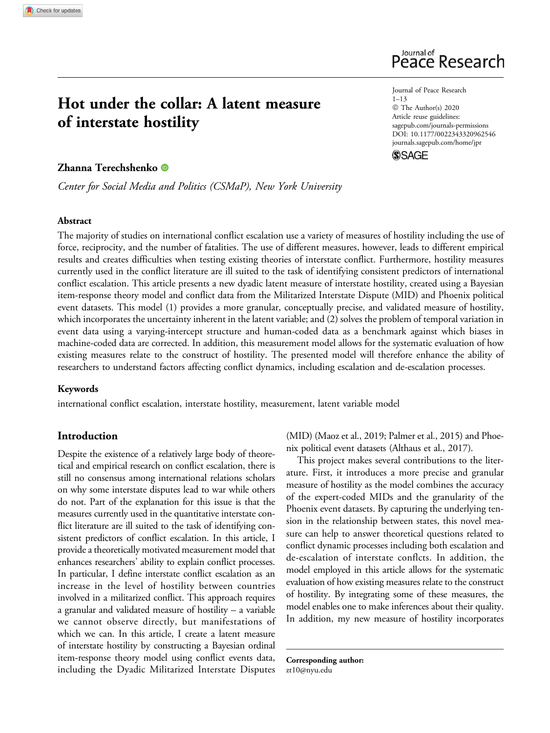# Hot under the collar: A latent measure of interstate hostility

# Zhanna Terechshenko <sup>®</sup>

Center for Social Media and Politics (CSMaP), New York University

#### Abstract

The majority of studies on international conflict escalation use a variety of measures of hostility including the use of force, reciprocity, and the number of fatalities. The use of different measures, however, leads to different empirical results and creates difficulties when testing existing theories of interstate conflict. Furthermore, hostility measures currently used in the conflict literature are ill suited to the task of identifying consistent predictors of international conflict escalation. This article presents a new dyadic latent measure of interstate hostility, created using a Bayesian item-response theory model and conflict data from the Militarized Interstate Dispute (MID) and Phoenix political event datasets. This model (1) provides a more granular, conceptually precise, and validated measure of hostility, which incorporates the uncertainty inherent in the latent variable; and (2) solves the problem of temporal variation in event data using a varying-intercept structure and human-coded data as a benchmark against which biases in machine-coded data are corrected. In addition, this measurement model allows for the systematic evaluation of how existing measures relate to the construct of hostility. The presented model will therefore enhance the ability of researchers to understand factors affecting conflict dynamics, including escalation and de-escalation processes.

#### Keywords

international conflict escalation, interstate hostility, measurement, latent variable model

# Introduction

Despite the existence of a relatively large body of theoretical and empirical research on conflict escalation, there is still no consensus among international relations scholars on why some interstate disputes lead to war while others do not. Part of the explanation for this issue is that the measures currently used in the quantitative interstate conflict literature are ill suited to the task of identifying consistent predictors of conflict escalation. In this article, I provide a theoretically motivated measurement model that enhances researchers' ability to explain conflict processes. In particular, I define interstate conflict escalation as an increase in the level of hostility between countries involved in a militarized conflict. This approach requires a granular and validated measure of hostility – a variable we cannot observe directly, but manifestations of which we can. In this article, I create a latent measure of interstate hostility by constructing a Bayesian ordinal item-response theory model using conflict events data, including the Dyadic Militarized Interstate Disputes

(MID) (Maoz et al., 2019; Palmer et al., 2015) and Phoenix political event datasets (Althaus et al., 2017).

This project makes several contributions to the literature. First, it introduces a more precise and granular measure of hostility as the model combines the accuracy of the expert-coded MIDs and the granularity of the Phoenix event datasets. By capturing the underlying tension in the relationship between states, this novel measure can help to answer theoretical questions related to conflict dynamic processes including both escalation and de-escalation of interstate conflcts. In addition, the model employed in this article allows for the systematic evaluation of how existing measures relate to the construct of hostility. By integrating some of these measures, the model enables one to make inferences about their quality. In addition, my new measure of hostility incorporates

Corresponding author: zt10@nyu.edu

Journal of Peace Research 1–13 © The Author(s) 2020 Article reuse guidelines: sagepub.com/journals-permissions DOI: 10.1177/0022343320962546 journals.sagepub.com/home/jpr

**SSAGE** 

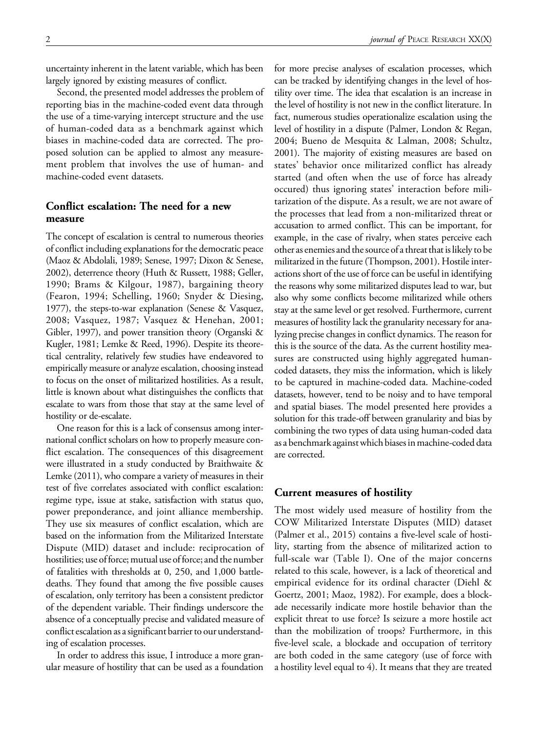# uncertainty inherent in the latent variable, which has been largely ignored by existing measures of conflict.

Second, the presented model addresses the problem of reporting bias in the machine-coded event data through the use of a time-varying intercept structure and the use of human-coded data as a benchmark against which biases in machine-coded data are corrected. The proposed solution can be applied to almost any measurement problem that involves the use of human- and machine-coded event datasets.

# Conflict escalation: The need for a new measure

The concept of escalation is central to numerous theories of conflict including explanations for the democratic peace (Maoz & Abdolali, 1989; Senese, 1997; Dixon & Senese, 2002), deterrence theory (Huth & Russett, 1988; Geller, 1990; Brams & Kilgour, 1987), bargaining theory (Fearon, 1994; Schelling, 1960; Snyder & Diesing, 1977), the steps-to-war explanation (Senese & Vasquez, 2008; Vasquez, 1987; Vasquez & Henehan, 2001; Gibler, 1997), and power transition theory (Organski & Kugler, 1981; Lemke & Reed, 1996). Despite its theoretical centrality, relatively few studies have endeavored to empirically measure or analyze escalation, choosing instead to focus on the onset of militarized hostilities. As a result, little is known about what distinguishes the conflicts that escalate to wars from those that stay at the same level of hostility or de-escalate.

One reason for this is a lack of consensus among international conflict scholars on how to properly measure conflict escalation. The consequences of this disagreement were illustrated in a study conducted by Braithwaite & Lemke (2011), who compare a variety of measures in their test of five correlates associated with conflict escalation: regime type, issue at stake, satisfaction with status quo, power preponderance, and joint alliance membership. They use six measures of conflict escalation, which are based on the information from the Militarized Interstate Dispute (MID) dataset and include: reciprocation of hostilities; use of force; mutual use of force; and the number of fatalities with thresholds at 0, 250, and 1,000 battledeaths. They found that among the five possible causes of escalation, only territory has been a consistent predictor of the dependent variable. Their findings underscore the absence of a conceptually precise and validated measure of conflict escalation as a significant barrier to our understanding of escalation processes.

In order to address this issue, I introduce a more granular measure of hostility that can be used as a foundation for more precise analyses of escalation processes, which can be tracked by identifying changes in the level of hostility over time. The idea that escalation is an increase in the level of hostility is not new in the conflict literature. In fact, numerous studies operationalize escalation using the level of hostility in a dispute (Palmer, London & Regan, 2004; Bueno de Mesquita & Lalman, 2008; Schultz, 2001). The majority of existing measures are based on states' behavior once militarized conflict has already started (and often when the use of force has already occured) thus ignoring states' interaction before militarization of the dispute. As a result, we are not aware of the processes that lead from a non-militarized threat or accusation to armed conflict. This can be important, for example, in the case of rivalry, when states perceive each other as enemies and the source of a threat that is likely to be militarized in the future (Thompson, 2001). Hostile interactions short of the use of force can be useful in identifying the reasons why some militarized disputes lead to war, but also why some conflicts become militarized while others stay at the same level or get resolved. Furthermore, current measures of hostility lack the granularity necessary for analyzing precise changes in conflict dynamics. The reason for this is the source of the data. As the current hostility measures are constructed using highly aggregated humancoded datasets, they miss the information, which is likely to be captured in machine-coded data. Machine-coded datasets, however, tend to be noisy and to have temporal and spatial biases. The model presented here provides a solution for this trade-off between granularity and bias by combining the two types of data using human-coded data as a benchmark against which biases in machine-coded data are corrected.

# Current measures of hostility

The most widely used measure of hostility from the COW Militarized Interstate Disputes (MID) dataset (Palmer et al., 2015) contains a five-level scale of hostility, starting from the absence of militarized action to full-scale war (Table I). One of the major concerns related to this scale, however, is a lack of theoretical and empirical evidence for its ordinal character (Diehl & Goertz, 2001; Maoz, 1982). For example, does a blockade necessarily indicate more hostile behavior than the explicit threat to use force? Is seizure a more hostile act than the mobilization of troops? Furthermore, in this five-level scale, a blockade and occupation of territory are both coded in the same category (use of force with a hostility level equal to 4). It means that they are treated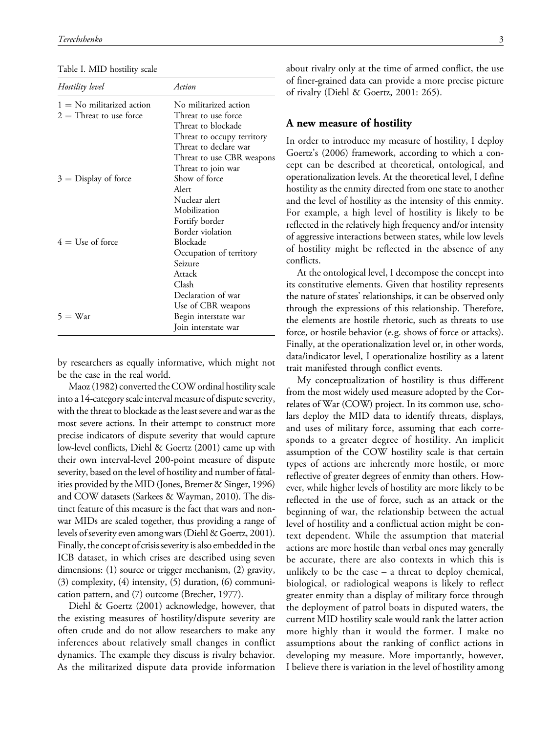Table I. MID hostility scale

| Hostility level             | Action                     |  |  |
|-----------------------------|----------------------------|--|--|
| $1 =$ No militarized action | No militarized action      |  |  |
| $2 =$ Threat to use force   | Threat to use force        |  |  |
|                             | Threat to blockade         |  |  |
|                             | Threat to occupy territory |  |  |
|                             | Threat to declare war      |  |  |
|                             | Threat to use CBR weapons  |  |  |
|                             | Threat to join war         |  |  |
| $3 =$ Display of force      | Show of force              |  |  |
|                             | Alert                      |  |  |
|                             | Nuclear alert              |  |  |
|                             | Mobilization               |  |  |
|                             | Fortify border             |  |  |
|                             | Border violation           |  |  |
| $4 =$ Use of force          | Blockade                   |  |  |
|                             | Occupation of territory    |  |  |
|                             | Seizure                    |  |  |
|                             | Attack                     |  |  |
|                             | Clash                      |  |  |
|                             | Declaration of war         |  |  |
|                             | Use of CBR weapons         |  |  |
| $5 = War$                   | Begin interstate war       |  |  |
|                             | Join interstate war        |  |  |

by researchers as equally informative, which might not be the case in the real world.

Maoz (1982) converted the COW ordinal hostility scale into a 14-category scale interval measure of dispute severity, with the threat to blockade as the least severe and war as the most severe actions. In their attempt to construct more precise indicators of dispute severity that would capture low-level conflicts, Diehl & Goertz (2001) came up with their own interval-level 200-point measure of dispute severity, based on the level of hostility and number of fatalities provided by the MID (Jones, Bremer & Singer, 1996) and COW datasets (Sarkees & Wayman, 2010). The distinct feature of this measure is the fact that wars and nonwar MIDs are scaled together, thus providing a range of levels of severity even among wars (Diehl & Goertz, 2001). Finally, the concept of crisis severity is also embedded in the ICB dataset, in which crises are described using seven dimensions: (1) source or trigger mechanism, (2) gravity, (3) complexity, (4) intensity, (5) duration, (6) communication pattern, and (7) outcome (Brecher, 1977).

Diehl & Goertz (2001) acknowledge, however, that the existing measures of hostility/dispute severity are often crude and do not allow researchers to make any inferences about relatively small changes in conflict dynamics. The example they discuss is rivalry behavior. As the militarized dispute data provide information

about rivalry only at the time of armed conflict, the use of finer-grained data can provide a more precise picture of rivalry (Diehl & Goertz, 2001: 265).

# A new measure of hostility

In order to introduce my measure of hostility, I deploy Goertz's (2006) framework, according to which a concept can be described at theoretical, ontological, and operationalization levels. At the theoretical level, I define hostility as the enmity directed from one state to another and the level of hostility as the intensity of this enmity. For example, a high level of hostility is likely to be reflected in the relatively high frequency and/or intensity of aggressive interactions between states, while low levels of hostility might be reflected in the absence of any conflicts.

At the ontological level, I decompose the concept into its constitutive elements. Given that hostility represents the nature of states' relationships, it can be observed only through the expressions of this relationship. Therefore, the elements are hostile rhetoric, such as threats to use force, or hostile behavior (e.g. shows of force or attacks). Finally, at the operationalization level or, in other words, data/indicator level, I operationalize hostility as a latent trait manifested through conflict events.

My conceptualization of hostility is thus different from the most widely used measure adopted by the Correlates of War (COW) project. In its common use, scholars deploy the MID data to identify threats, displays, and uses of military force, assuming that each corresponds to a greater degree of hostility. An implicit assumption of the COW hostility scale is that certain types of actions are inherently more hostile, or more reflective of greater degrees of enmity than others. However, while higher levels of hostility are more likely to be reflected in the use of force, such as an attack or the beginning of war, the relationship between the actual level of hostility and a conflictual action might be context dependent. While the assumption that material actions are more hostile than verbal ones may generally be accurate, there are also contexts in which this is unlikely to be the case – a threat to deploy chemical, biological, or radiological weapons is likely to reflect greater enmity than a display of military force through the deployment of patrol boats in disputed waters, the current MID hostility scale would rank the latter action more highly than it would the former. I make no assumptions about the ranking of conflict actions in developing my measure. More importantly, however, I believe there is variation in the level of hostility among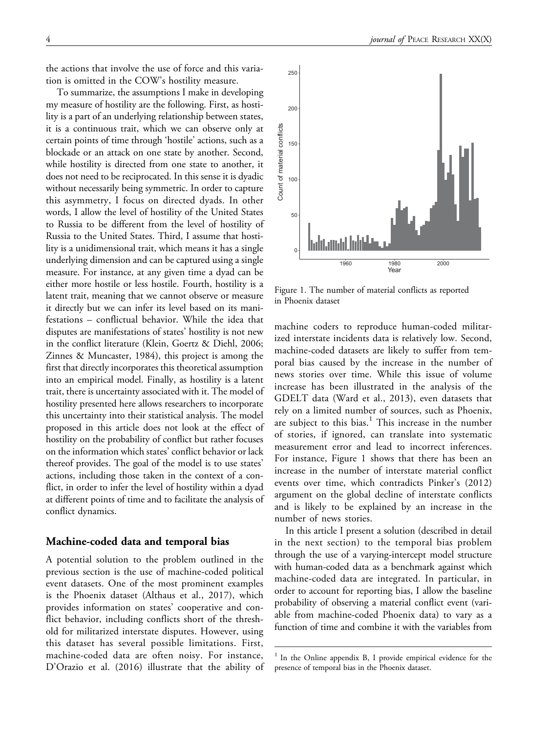the actions that involve the use of force and this variation is omitted in the COW's hostility measure.

To summarize, the assumptions I make in developing my measure of hostility are the following. First, as hostility is a part of an underlying relationship between states, it is a continuous trait, which we can observe only at certain points of time through 'hostile' actions, such as a blockade or an attack on one state by another. Second, while hostility is directed from one state to another, it does not need to be reciprocated. In this sense it is dyadic without necessarily being symmetric. In order to capture this asymmetry, I focus on directed dyads. In other words, I allow the level of hostility of the United States to Russia to be different from the level of hostility of Russia to the United States. Third, I assume that hostility is a unidimensional trait, which means it has a single underlying dimension and can be captured using a single measure. For instance, at any given time a dyad can be either more hostile or less hostile. Fourth, hostility is a latent trait, meaning that we cannot observe or measure it directly but we can infer its level based on its manifestations – conflictual behavior. While the idea that disputes are manifestations of states' hostility is not new in the conflict literature (Klein, Goertz & Diehl, 2006; Zinnes & Muncaster, 1984), this project is among the first that directly incorporates this theoretical assumption into an empirical model. Finally, as hostility is a latent trait, there is uncertainty associated with it. The model of hostility presented here allows researchers to incorporate this uncertainty into their statistical analysis. The model proposed in this article does not look at the effect of hostility on the probability of conflict but rather focuses on the information which states' conflict behavior or lack thereof provides. The goal of the model is to use states' actions, including those taken in the context of a conflict, in order to infer the level of hostility within a dyad at different points of time and to facilitate the analysis of conflict dynamics.

# Machine-coded data and temporal bias

A potential solution to the problem outlined in the previous section is the use of machine-coded political event datasets. One of the most prominent examples is the Phoenix dataset (Althaus et al., 2017), which provides information on states' cooperative and conflict behavior, including conflicts short of the threshold for militarized interstate disputes. However, using this dataset has several possible limitations. First, machine-coded data are often noisy. For instance, D'Orazio et al. (2016) illustrate that the ability of



Figure 1. The number of material conflicts as reported in Phoenix dataset

machine coders to reproduce human-coded militarized interstate incidents data is relatively low. Second, machine-coded datasets are likely to suffer from temporal bias caused by the increase in the number of news stories over time. While this issue of volume increase has been illustrated in the analysis of the GDELT data (Ward et al., 2013), even datasets that rely on a limited number of sources, such as Phoenix, are subject to this bias. $1$  This increase in the number of stories, if ignored, can translate into systematic measurement error and lead to incorrect inferences. For instance, Figure 1 shows that there has been an increase in the number of interstate material conflict events over time, which contradicts Pinker's (2012) argument on the global decline of interstate conflicts and is likely to be explained by an increase in the number of news stories.

In this article I present a solution (described in detail in the next section) to the temporal bias problem through the use of a varying-intercept model structure with human-coded data as a benchmark against which machine-coded data are integrated. In particular, in order to account for reporting bias, I allow the baseline probability of observing a material conflict event (variable from machine-coded Phoenix data) to vary as a function of time and combine it with the variables from

<sup>&</sup>lt;sup>1</sup> In the Online appendix B, I provide empirical evidence for the presence of temporal bias in the Phoenix dataset.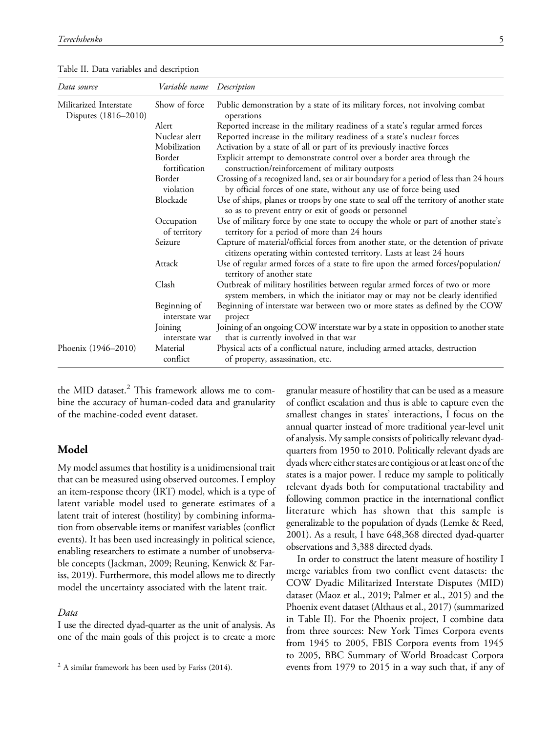Table II. Data variables and description

| Data source                                    | Variable name Description      |                                                                                                                                                               |
|------------------------------------------------|--------------------------------|---------------------------------------------------------------------------------------------------------------------------------------------------------------|
| Militarized Interstate<br>Disputes (1816-2010) | Show of force                  | Public demonstration by a state of its military forces, not involving combat<br>operations                                                                    |
|                                                | Alert                          | Reported increase in the military readiness of a state's regular armed forces                                                                                 |
|                                                | Nuclear alert                  | Reported increase in the military readiness of a state's nuclear forces                                                                                       |
|                                                | Mobilization                   | Activation by a state of all or part of its previously inactive forces                                                                                        |
|                                                | Border<br>fortification        | Explicit attempt to demonstrate control over a border area through the<br>construction/reinforcement of military outposts                                     |
|                                                | Border<br>violation            | Crossing of a recognized land, sea or air boundary for a period of less than 24 hours<br>by official forces of one state, without any use of force being used |
|                                                | Blockade                       | Use of ships, planes or troops by one state to seal off the territory of another state<br>so as to prevent entry or exit of goods or personnel                |
|                                                | Occupation<br>of territory     | Use of military force by one state to occupy the whole or part of another state's<br>territory for a period of more than 24 hours                             |
|                                                | Seizure                        | Capture of material/official forces from another state, or the detention of private<br>citizens operating within contested territory. Lasts at least 24 hours |
|                                                | Attack                         | Use of regular armed forces of a state to fire upon the armed forces/population/<br>territory of another state                                                |
|                                                | Clash                          | Outbreak of military hostilities between regular armed forces of two or more<br>system members, in which the initiator may or may not be clearly identified   |
|                                                | Beginning of<br>interstate war | Beginning of interstate war between two or more states as defined by the COW<br>project                                                                       |
|                                                | Joining<br>interstate war      | Joining of an ongoing COW interstate war by a state in opposition to another state<br>that is currently involved in that war                                  |
| Phoenix (1946-2010)                            | Material<br>conflict           | Physical acts of a conflictual nature, including armed attacks, destruction<br>of property, assassination, etc.                                               |

the MID dataset.<sup>2</sup> This framework allows me to combine the accuracy of human-coded data and granularity of the machine-coded event dataset.

# Model

My model assumes that hostility is a unidimensional trait that can be measured using observed outcomes. I employ an item-response theory (IRT) model, which is a type of latent variable model used to generate estimates of a latent trait of interest (hostility) by combining information from observable items or manifest variables (conflict events). It has been used increasingly in political science, enabling researchers to estimate a number of unobservable concepts (Jackman, 2009; Reuning, Kenwick & Fariss, 2019). Furthermore, this model allows me to directly model the uncertainty associated with the latent trait.

#### Data

I use the directed dyad-quarter as the unit of analysis. As one of the main goals of this project is to create a more

granular measure of hostility that can be used as a measure of conflict escalation and thus is able to capture even the smallest changes in states' interactions, I focus on the annual quarter instead of more traditional year-level unit of analysis. My sample consists of politically relevant dyadquarters from 1950 to 2010. Politically relevant dyads are dyads where either states are contigious or at least one of the states is a major power. I reduce my sample to politically relevant dyads both for computational tractability and following common practice in the international conflict literature which has shown that this sample is generalizable to the population of dyads (Lemke & Reed, 2001). As a result, I have 648,368 directed dyad-quarter observations and 3,388 directed dyads.

In order to construct the latent measure of hostility I merge variables from two conflict event datasets: the COW Dyadic Militarized Interstate Disputes (MID) dataset (Maoz et al., 2019; Palmer et al., 2015) and the Phoenix event dataset (Althaus et al., 2017) (summarized in Table II). For the Phoenix project, I combine data from three sources: New York Times Corpora events from 1945 to 2005, FBIS Corpora events from 1945 to 2005, BBC Summary of World Broadcast Corpora events from 1979 to 2015 in a way such that, if any of

 $2A$  similar framework has been used by Fariss (2014).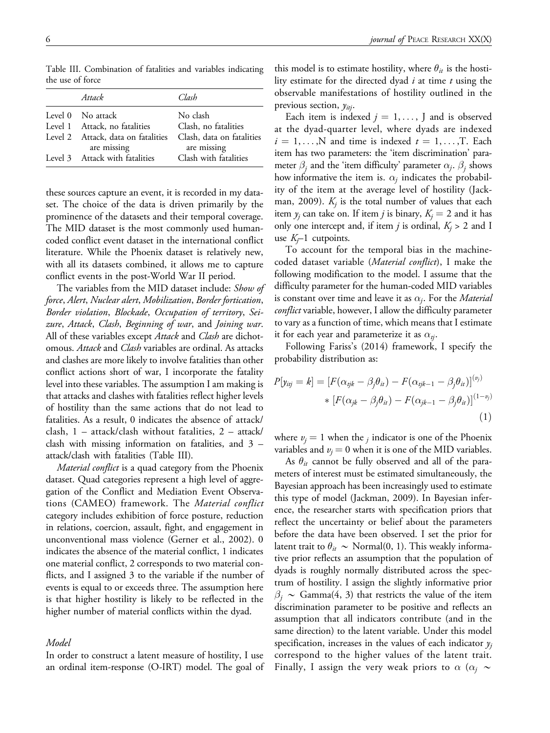| Attack                                                                      | Clash                 |
|-----------------------------------------------------------------------------|-----------------------|
| Level 0 No attack                                                           | No clash              |
| Level 1 Attack, no fatalities Clash, no fatalities                          |                       |
| Level 2 Attack, data on fatalities Clash, data on fatalities<br>are missing | are missing           |
| Level 3 Attack with fatalities                                              | Clash with fatalities |

Table III. Combination of fatalities and variables indicating the use of force

these sources capture an event, it is recorded in my dataset. The choice of the data is driven primarily by the prominence of the datasets and their temporal coverage. The MID dataset is the most commonly used humancoded conflict event dataset in the international conflict literature. While the Phoenix dataset is relatively new, with all its datasets combined, it allows me to capture conflict events in the post-World War II period.

The variables from the MID dataset include: Show of force, Alert, Nuclear alert, Mobilization, Border fortication, Border violation, Blockade, Occupation of territory, Seizure, Attack, Clash, Beginning of war, and Joining war. All of these variables except Attack and Clash are dichotomous. Attack and Clash variables are ordinal. As attacks and clashes are more likely to involve fatalities than other conflict actions short of war, I incorporate the fatality level into these variables. The assumption I am making is that attacks and clashes with fatalities reflect higher levels of hostility than the same actions that do not lead to fatalities. As a result, 0 indicates the absence of attack/ clash, 1 – attack/clash without fatalities, 2 – attack/ clash with missing information on fatalities, and 3 – attack/clash with fatalities (Table III).

Material conflict is a quad category from the Phoenix dataset. Quad categories represent a high level of aggregation of the Conflict and Mediation Event Observations (CAMEO) framework. The Material conflict category includes exhibition of force posture, reduction in relations, coercion, assault, fight, and engagement in unconventional mass violence (Gerner et al., 2002). 0 indicates the absence of the material conflict, 1 indicates one material conflict, 2 corresponds to two material conflicts, and I assigned 3 to the variable if the number of events is equal to or exceeds three. The assumption here is that higher hostility is likely to be reflected in the higher number of material conflicts within the dyad.

#### Model

In order to construct a latent measure of hostility, I use an ordinal item-response (O-IRT) model. The goal of

this model is to estimate hostility, where  $\theta_{it}$  is the hostility estimate for the directed dyad  $i$  at time  $t$  using the observable manifestations of hostility outlined in the previous section,  $y_{itj}$ .

Each item is indexed  $j = 1, \ldots, J$  and is observed at the dyad-quarter level, where dyads are indexed  $i = 1, \ldots, N$  and time is indexed  $t = 1, \ldots, T$ . Each item has two parameters: the 'item discrimination' parameter  $\beta_j$  and the 'item difficulty' parameter  $\alpha_j$ .  $\beta_j$  shows how informative the item is.  $\alpha_j$  indicates the probability of the item at the average level of hostility (Jackman, 2009).  $K_j$  is the total number of values that each item  $y_i$  can take on. If item *j* is binary,  $K_i = 2$  and it has only one intercept and, if item *j* is ordinal,  $K_j > 2$  and I use  $K_f$ –1 cutpoints.

To account for the temporal bias in the machinecoded dataset variable (Material conflict), I make the following modification to the model. I assume that the difficulty parameter for the human-coded MID variables is constant over time and leave it as  $\alpha_j$ . For the *Material* conflict variable, however, I allow the difficulty parameter to vary as a function of time, which means that I estimate it for each year and parameterize it as  $\alpha_{ti}$ .

Following Fariss's (2014) framework, I specify the probability distribution as:

$$
P[y_{ij} = k] = [F(\alpha_{ijk} - \beta_j \theta_{it}) - F(\alpha_{ijk-1} - \beta_j \theta_{it})]^{(v_j)}
$$
  
 
$$
* [F(\alpha_{jk} - \beta_j \theta_{it}) - F(\alpha_{jk-1} - \beta_j \theta_{it})]^{(1-v_j)}
$$
  
(1)

where  $v_j = 1$  when the j indicator is one of the Phoenix variables and  $v_j = 0$  when it is one of the MID variables.

As  $\theta_{it}$  cannot be fully observed and all of the parameters of interest must be estimated simultaneously, the Bayesian approach has been increasingly used to estimate this type of model (Jackman, 2009). In Bayesian inference, the researcher starts with specification priors that reflect the uncertainty or belief about the parameters before the data have been observed. I set the prior for latent trait to  $\theta_{it} \sim \text{Normal}(0, 1)$ . This weakly informative prior reflects an assumption that the population of dyads is roughly normally distributed across the spectrum of hostility. I assign the slightly informative prior  $\beta_i$  ~ Gamma(4, 3) that restricts the value of the item discrimination parameter to be positive and reflects an assumption that all indicators contribute (and in the same direction) to the latent variable. Under this model specification, increases in the values of each indicator  $y_j$ correspond to the higher values of the latent trait. Finally, I assign the very weak priors to  $\alpha$  ( $\alpha_i \sim$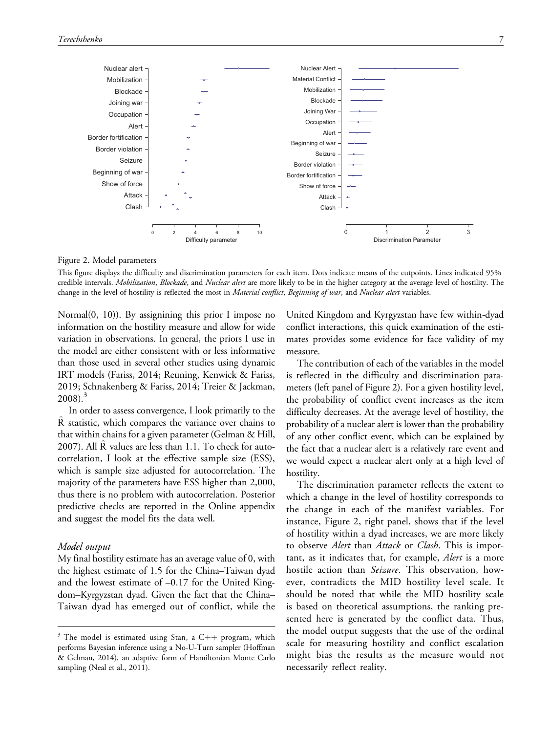

Figure 2. Model parameters

This figure displays the difficulty and discrimination parameters for each item. Dots indicate means of the cutpoints. Lines indicated 95% credible intervals. Mobilization, Blockade, and Nuclear alert are more likely to be in the higher category at the average level of hostility. The change in the level of hostility is reflected the most in Material conflict, Beginning of war, and Nuclear alert variables.

Normal(0, 10)). By assignining this prior I impose no information on the hostility measure and allow for wide variation in observations. In general, the priors I use in the model are either consistent with or less informative than those used in several other studies using dynamic IRT models (Fariss, 2014; Reuning, Kenwick & Fariss, 2019; Schnakenberg & Fariss, 2014; Treier & Jackman,  $2008$ )<sup>3</sup>

In order to assess convergence, I look primarily to the R statistic, which compares the variance over chains to ^ that within chains for a given parameter (Gelman & Hill, 2007). All R values are less than 1.1. To check for auto- ^ correlation, I look at the effective sample size (ESS), which is sample size adjusted for autocorrelation. The majority of the parameters have ESS higher than 2,000, thus there is no problem with autocorrelation. Posterior predictive checks are reported in the Online appendix and suggest the model fits the data well.

#### Model output

My final hostility estimate has an average value of 0, with the highest estimate of 1.5 for the China–Taiwan dyad and the lowest estimate of –0.17 for the United Kingdom–Kyrgyzstan dyad. Given the fact that the China– Taiwan dyad has emerged out of conflict, while the United Kingdom and Kyrgyzstan have few within-dyad conflict interactions, this quick examination of the estimates provides some evidence for face validity of my measure.

The contribution of each of the variables in the model is reflected in the difficulty and discrimination parameters (left panel of Figure 2). For a given hostility level, the probability of conflict event increases as the item difficulty decreases. At the average level of hostility, the probability of a nuclear alert is lower than the probability of any other conflict event, which can be explained by the fact that a nuclear alert is a relatively rare event and we would expect a nuclear alert only at a high level of hostility.

The discrimination parameter reflects the extent to which a change in the level of hostility corresponds to the change in each of the manifest variables. For instance, Figure 2, right panel, shows that if the level of hostility within a dyad increases, we are more likely to observe *Alert* than *Attack* or *Clash*. This is important, as it indicates that, for example, Alert is a more hostile action than *Seizure*. This observation, however, contradicts the MID hostility level scale. It should be noted that while the MID hostility scale is based on theoretical assumptions, the ranking presented here is generated by the conflict data. Thus, the model output suggests that the use of the ordinal scale for measuring hostility and conflict escalation might bias the results as the measure would not necessarily reflect reality.

 $3$  The model is estimated using Stan, a C++ program, which performs Bayesian inference using a No-U-Turn sampler (Hoffman & Gelman, 2014), an adaptive form of Hamiltonian Monte Carlo sampling (Neal et al., 2011).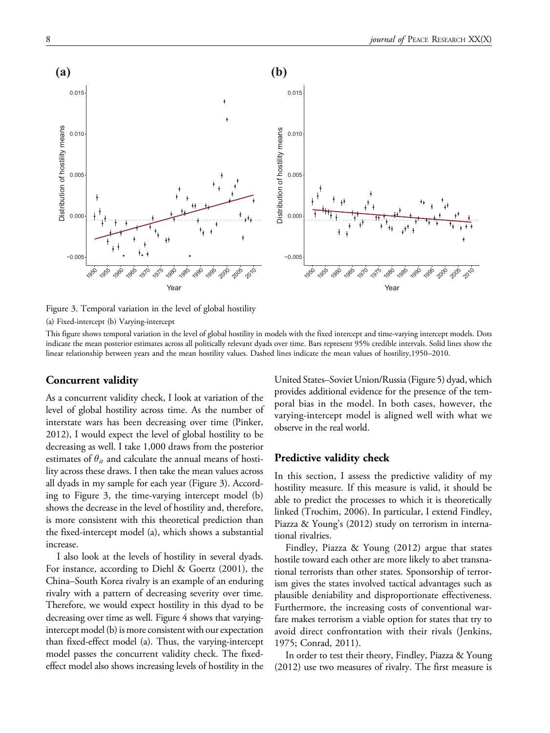

Figure 3. Temporal variation in the level of global hostility (a) Fixed-intercept (b) Varying-intercept

This figure shows temporal variation in the level of global hostility in models with the fixed intercept and time-varying intercept models. Dots indicate the mean posterior estimates across all politically relevant dyads over time. Bars represent 95% credible intervals. Solid lines show the linear relationship between years and the mean hostility values. Dashed lines indicate the mean values of hostility,1950–2010.

# Concurrent validity

As a concurrent validity check, I look at variation of the level of global hostility across time. As the number of interstate wars has been decreasing over time (Pinker, 2012), I would expect the level of global hostility to be decreasing as well. I take 1,000 draws from the posterior estimates of  $\theta_{it}$  and calculate the annual means of hostility across these draws. I then take the mean values across all dyads in my sample for each year (Figure 3). According to Figure 3, the time-varying intercept model (b) shows the decrease in the level of hostility and, therefore, is more consistent with this theoretical prediction than the fixed-intercept model (a), which shows a substantial increase.

I also look at the levels of hostility in several dyads. For instance, according to Diehl & Goertz (2001), the China–South Korea rivalry is an example of an enduring rivalry with a pattern of decreasing severity over time. Therefore, we would expect hostility in this dyad to be decreasing over time as well. Figure 4 shows that varyingintercept model (b) is more consistent with our expectation than fixed-effect model (a). Thus, the varying-intercept model passes the concurrent validity check. The fixedeffect model also shows increasing levels of hostility in the

United States–Soviet Union/Russia (Figure 5) dyad, which provides additional evidence for the presence of the temporal bias in the model. In both cases, however, the varying-intercept model is aligned well with what we observe in the real world.

# Predictive validity check

In this section, I assess the predictive validity of my hostility measure. If this measure is valid, it should be able to predict the processes to which it is theoretically linked (Trochim, 2006). In particular, I extend Findley, Piazza & Young's (2012) study on terrorism in international rivalries.

Findley, Piazza & Young (2012) argue that states hostile toward each other are more likely to abet transnational terrorists than other states. Sponsorship of terrorism gives the states involved tactical advantages such as plausible deniability and disproportionate effectiveness. Furthermore, the increasing costs of conventional warfare makes terrorism a viable option for states that try to avoid direct confrontation with their rivals (Jenkins, 1975; Conrad, 2011).

In order to test their theory, Findley, Piazza & Young (2012) use two measures of rivalry. The first measure is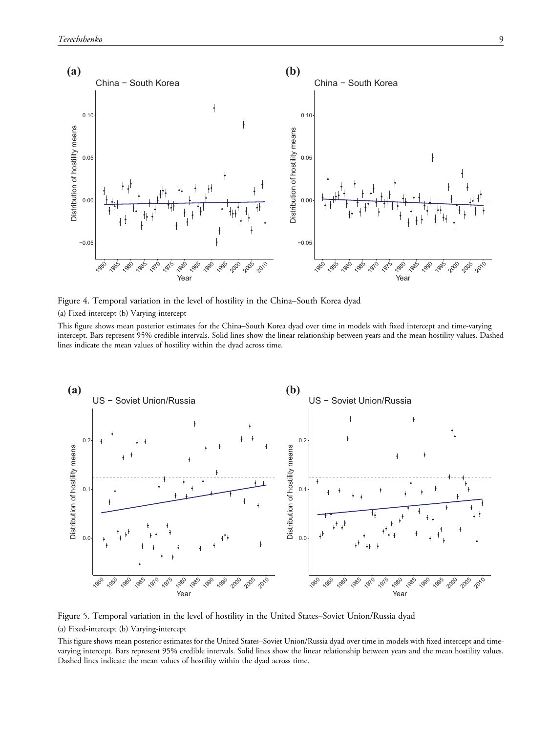

Figure 4. Temporal variation in the level of hostility in the China–South Korea dyad

#### (a) Fixed-intercept (b) Varying-intercept

This figure shows mean posterior estimates for the China–South Korea dyad over time in models with fixed intercept and time-varying intercept. Bars represent 95% credible intervals. Solid lines show the linear relationship between years and the mean hostility values. Dashed lines indicate the mean values of hostility within the dyad across time.



Figure 5. Temporal variation in the level of hostility in the United States–Soviet Union/Russia dyad (a) Fixed-intercept (b) Varying-intercept

This figure shows mean posterior estimates for the United States–Soviet Union/Russia dyad over time in models with fixed intercept and timevarying intercept. Bars represent 95% credible intervals. Solid lines show the linear relationship between years and the mean hostility values. Dashed lines indicate the mean values of hostility within the dyad across time.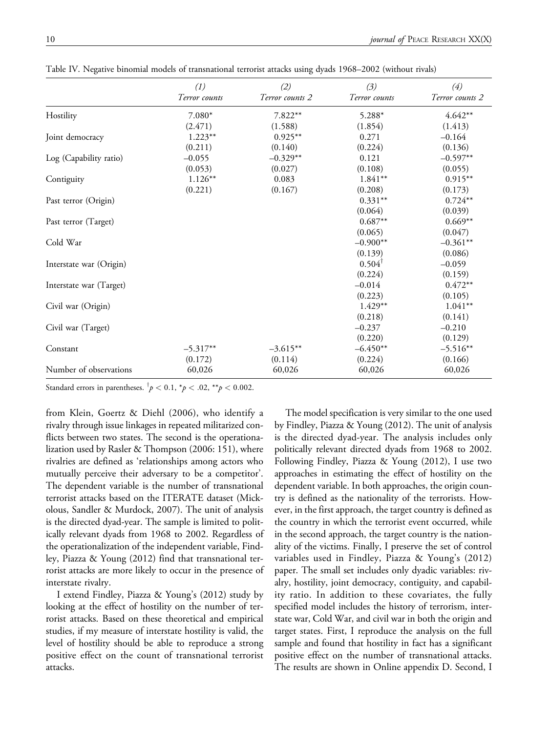|                         | (1)<br>Terror counts | (2)<br>Terror counts 2 | (3)<br>Terror counts | (4)<br>Terror counts 2 |
|-------------------------|----------------------|------------------------|----------------------|------------------------|
| Hostility               | $7.080*$             | 7.822**                | 5.288*               | $4.642**$              |
|                         | (2.471)              | (1.588)                | (1.854)              | (1.413)                |
| Joint democracy         | $1.223**$            | $0.925**$              | 0.271                | $-0.164$               |
|                         | (0.211)              | (0.140)                | (0.224)              | (0.136)                |
| Log (Capability ratio)  | $-0.055$             | $-0.329**$             | 0.121                | $-0.597**$             |
|                         | (0.053)              | (0.027)                | (0.108)              | (0.055)                |
| Contiguity              | $1.126**$            | 0.083                  | $1.841**$            | $0.915***$             |
|                         | (0.221)              | (0.167)                | (0.208)              | (0.173)                |
| Past terror (Origin)    |                      |                        | $0.331**$            | $0.724**$              |
|                         |                      |                        | (0.064)              | (0.039)                |
| Past terror (Target)    |                      |                        | $0.687**$            | $0.669**$              |
|                         |                      |                        | (0.065)              | (0.047)                |
| Cold War                |                      |                        | $-0.900**$           | $-0.361**$             |
|                         |                      |                        | (0.139)              | (0.086)                |
| Interstate war (Origin) |                      |                        | $0.504^{\dagger}$    | $-0.059$               |
|                         |                      |                        | (0.224)              | (0.159)                |
| Interstate war (Target) |                      |                        | $-0.014$             | $0.472**$              |
|                         |                      |                        | (0.223)              | (0.105)                |
| Civil war (Origin)      |                      |                        | $1.429**$            | $1.041**$              |
|                         |                      |                        | (0.218)              | (0.141)                |
| Civil war (Target)      |                      |                        | $-0.237$             | $-0.210$               |
|                         |                      |                        | (0.220)              | (0.129)                |
| Constant                | $-5.317**$           | $-3.615**$             | $-6.450**$           | $-5.516**$             |
|                         | (0.172)              | (0.114)                | (0.224)              | (0.166)                |
| Number of observations  | 60,026               | 60,026                 | 60,026               | 60,026                 |

Table IV. Negative binomial models of transnational terrorist attacks using dyads 1968–2002 (without rivals)

Standard errors in parentheses.  $^{\dagger} p < 0.1, \, {}^*p < .02, \, {}^*{}^*p < 0.002.$ 

from Klein, Goertz & Diehl (2006), who identify a rivalry through issue linkages in repeated militarized conflicts between two states. The second is the operationalization used by Rasler & Thompson (2006: 151), where rivalries are defined as 'relationships among actors who mutually perceive their adversary to be a competitor'. The dependent variable is the number of transnational terrorist attacks based on the ITERATE dataset (Mickolous, Sandler & Murdock, 2007). The unit of analysis is the directed dyad-year. The sample is limited to politically relevant dyads from 1968 to 2002. Regardless of the operationalization of the independent variable, Findley, Piazza & Young (2012) find that transnational terrorist attacks are more likely to occur in the presence of interstate rivalry.

I extend Findley, Piazza & Young's (2012) study by looking at the effect of hostility on the number of terrorist attacks. Based on these theoretical and empirical studies, if my measure of interstate hostility is valid, the level of hostility should be able to reproduce a strong positive effect on the count of transnational terrorist attacks.

The model specification is very similar to the one used by Findley, Piazza & Young (2012). The unit of analysis is the directed dyad-year. The analysis includes only politically relevant directed dyads from 1968 to 2002. Following Findley, Piazza & Young (2012), I use two approaches in estimating the effect of hostility on the dependent variable. In both approaches, the origin country is defined as the nationality of the terrorists. However, in the first approach, the target country is defined as the country in which the terrorist event occurred, while in the second approach, the target country is the nationality of the victims. Finally, I preserve the set of control variables used in Findley, Piazza & Young's (2012) paper. The small set includes only dyadic variables: rivalry, hostility, joint democracy, contiguity, and capability ratio. In addition to these covariates, the fully specified model includes the history of terrorism, interstate war, Cold War, and civil war in both the origin and target states. First, I reproduce the analysis on the full sample and found that hostility in fact has a significant positive effect on the number of transnational attacks. The results are shown in Online appendix D. Second, I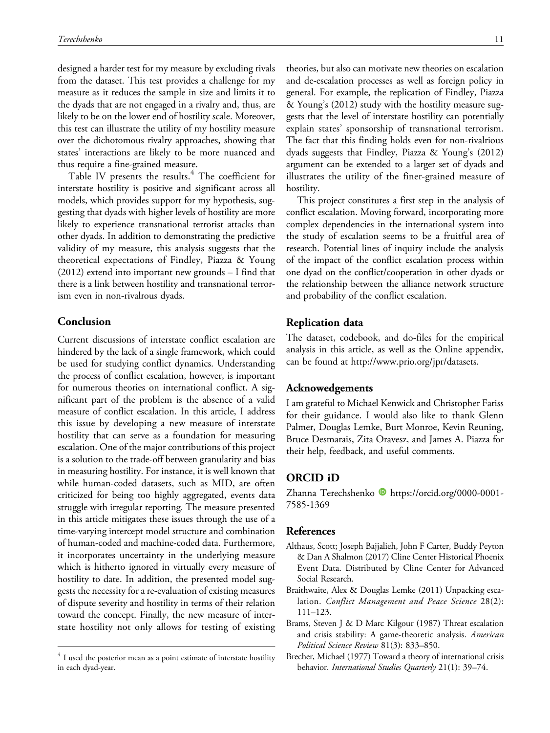designed a harder test for my measure by excluding rivals from the dataset. This test provides a challenge for my measure as it reduces the sample in size and limits it to the dyads that are not engaged in a rivalry and, thus, are likely to be on the lower end of hostility scale. Moreover, this test can illustrate the utility of my hostility measure over the dichotomous rivalry approaches, showing that states' interactions are likely to be more nuanced and thus require a fine-grained measure.

Table IV presents the results.<sup>4</sup> The coefficient for interstate hostility is positive and significant across all models, which provides support for my hypothesis, suggesting that dyads with higher levels of hostility are more likely to experience transnational terrorist attacks than other dyads. In addition to demonstrating the predictive validity of my measure, this analysis suggests that the theoretical expectations of Findley, Piazza & Young (2012) extend into important new grounds – I find that there is a link between hostility and transnational terrorism even in non-rivalrous dyads.

# Conclusion

Current discussions of interstate conflict escalation are hindered by the lack of a single framework, which could be used for studying conflict dynamics. Understanding the process of conflict escalation, however, is important for numerous theories on international conflict. A significant part of the problem is the absence of a valid measure of conflict escalation. In this article, I address this issue by developing a new measure of interstate hostility that can serve as a foundation for measuring escalation. One of the major contributions of this project is a solution to the trade-off between granularity and bias in measuring hostility. For instance, it is well known that while human-coded datasets, such as MID, are often criticized for being too highly aggregated, events data struggle with irregular reporting. The measure presented in this article mitigates these issues through the use of a time-varying intercept model structure and combination of human-coded and machine-coded data. Furthermore, it incorporates uncertainty in the underlying measure which is hitherto ignored in virtually every measure of hostility to date. In addition, the presented model suggests the necessity for a re-evaluation of existing measures of dispute severity and hostility in terms of their relation toward the concept. Finally, the new measure of interstate hostility not only allows for testing of existing

theories, but also can motivate new theories on escalation and de-escalation processes as well as foreign policy in general. For example, the replication of Findley, Piazza & Young's (2012) study with the hostility measure suggests that the level of interstate hostility can potentially explain states' sponsorship of transnational terrorism. The fact that this finding holds even for non-rivalrious dyads suggests that Findley, Piazza & Young's (2012) argument can be extended to a larger set of dyads and illustrates the utility of the finer-grained measure of hostility.

This project constitutes a first step in the analysis of conflict escalation. Moving forward, incorporating more complex dependencies in the international system into the study of escalation seems to be a fruitful area of research. Potential lines of inquiry include the analysis of the impact of the conflict escalation process within one dyad on the conflict/cooperation in other dyads or the relationship between the alliance network structure and probability of the conflict escalation.

# Replication data

The dataset, codebook, and do-files for the empirical analysis in this article, as well as the Online appendix, can be found at http://www.prio.org/jpr/datasets.

# Acknowedgements

I am grateful to Michael Kenwick and Christopher Fariss for their guidance. I would also like to thank Glenn Palmer, Douglas Lemke, Burt Monroe, Kevin Reuning, Bruce Desmarais, Zita Oravesz, and James A. Piazza for their help, feedback, and useful comments.

# ORCID iD

Zhanna Terechshenko **https://orcid.org/0000-0001-**7585-1369

#### References

- Althaus, Scott; Joseph Bajjalieh, John F Carter, Buddy Peyton & Dan A Shalmon (2017) Cline Center Historical Phoenix Event Data. Distributed by Cline Center for Advanced Social Research.
- Braithwaite, Alex & Douglas Lemke (2011) Unpacking escalation. Conflict Management and Peace Science 28(2): 111–123.
- Brams, Steven J & D Marc Kilgour (1987) Threat escalation and crisis stability: A game-theoretic analysis. American Political Science Review 81(3): 833–850.
- Brecher, Michael (1977) Toward a theory of international crisis behavior. International Studies Quarterly 21(1): 39-74.

 $4$  I used the posterior mean as a point estimate of interstate hostility in each dyad-year.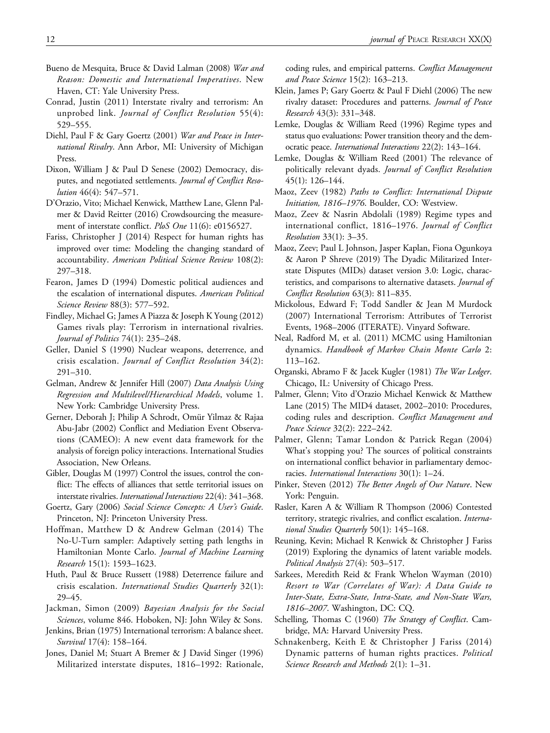- Bueno de Mesquita, Bruce & David Lalman (2008) War and Reason: Domestic and International Imperatives. New Haven, CT: Yale University Press.
- Conrad, Justin (2011) Interstate rivalry and terrorism: An unprobed link. Journal of Conflict Resolution 55(4): 529–555.
- Diehl, Paul F & Gary Goertz (2001) War and Peace in International Rivalry. Ann Arbor, MI: University of Michigan Press.
- Dixon, William J & Paul D Senese (2002) Democracy, disputes, and negotiated settlements. Journal of Conflict Resolution 46(4): 547–571.
- D'Orazio, Vito; Michael Kenwick, Matthew Lane, Glenn Palmer & David Reitter (2016) Crowdsourcing the measurement of interstate conflict. *PloS One* 11(6): e0156527.
- Fariss, Christopher J (2014) Respect for human rights has improved over time: Modeling the changing standard of accountability. American Political Science Review 108(2): 297–318.
- Fearon, James D (1994) Domestic political audiences and the escalation of international disputes. American Political Science Review 88(3): 577–592.
- Findley, Michael G; James A Piazza & Joseph K Young (2012) Games rivals play: Terrorism in international rivalries. Journal of Politics 74(1): 235–248.
- Geller, Daniel S (1990) Nuclear weapons, deterrence, and crisis escalation. Journal of Conflict Resolution 34(2): 291–310.
- Gelman, Andrew & Jennifer Hill (2007) Data Analysis Using Regression and Multilevel/Hierarchical Models, volume 1. New York: Cambridge University Press.
- Gerner, Deborah J; Philip A Schrodt, Omür Yilmaz & Rajaa Abu-Jabr (2002) Conflict and Mediation Event Observations (CAMEO): A new event data framework for the analysis of foreign policy interactions. International Studies Association, New Orleans.
- Gibler, Douglas M (1997) Control the issues, control the conflict: The effects of alliances that settle territorial issues on interstate rivalries. *International Interactions* 22(4): 341–368.
- Goertz, Gary (2006) Social Science Concepts: A User's Guide. Princeton, NJ: Princeton University Press.
- Hoffman, Matthew D & Andrew Gelman (2014) The No-U-Turn sampler: Adaptively setting path lengths in Hamiltonian Monte Carlo. Journal of Machine Learning Research 15(1): 1593–1623.
- Huth, Paul & Bruce Russett (1988) Deterrence failure and crisis escalation. International Studies Quarterly 32(1): 29–45.
- Jackman, Simon (2009) Bayesian Analysis for the Social Sciences, volume 846. Hoboken, NJ: John Wiley & Sons.
- Jenkins, Brian (1975) International terrorism: A balance sheet. Survival 17(4): 158-164.
- Jones, Daniel M; Stuart A Bremer & J David Singer (1996) Militarized interstate disputes, 1816–1992: Rationale,

coding rules, and empirical patterns. Conflict Management and Peace Science 15(2): 163–213.

- Klein, James P; Gary Goertz & Paul F Diehl (2006) The new rivalry dataset: Procedures and patterns. Journal of Peace Research 43(3): 331–348.
- Lemke, Douglas & William Reed (1996) Regime types and status quo evaluations: Power transition theory and the democratic peace. International Interactions 22(2): 143–164.
- Lemke, Douglas & William Reed (2001) The relevance of politically relevant dyads. Journal of Conflict Resolution 45(1): 126–144.
- Maoz, Zeev (1982) Paths to Conflict: International Dispute Initiation, 1816–1976. Boulder, CO: Westview.
- Maoz, Zeev & Nasrin Abdolali (1989) Regime types and international conflict, 1816–1976. Journal of Conflict Resolution 33(1): 3–35.
- Maoz, Zeev; Paul L Johnson, Jasper Kaplan, Fiona Ogunkoya & Aaron P Shreve (2019) The Dyadic Militarized Interstate Disputes (MIDs) dataset version 3.0: Logic, characteristics, and comparisons to alternative datasets. Journal of Conflict Resolution 63(3): 811–835.
- Mickolous, Edward F; Todd Sandler & Jean M Murdock (2007) International Terrorism: Attributes of Terrorist Events, 1968–2006 (ITERATE). Vinyard Software.
- Neal, Radford M, et al. (2011) MCMC using Hamiltonian dynamics. Handbook of Markov Chain Monte Carlo 2: 113–162.
- Organski, Abramo F & Jacek Kugler (1981) The War Ledger. Chicago, IL: University of Chicago Press.
- Palmer, Glenn; Vito d'Orazio Michael Kenwick & Matthew Lane (2015) The MID4 dataset, 2002–2010: Procedures, coding rules and description. Conflict Management and Peace Science 32(2): 222–242.
- Palmer, Glenn; Tamar London & Patrick Regan (2004) What's stopping you? The sources of political constraints on international conflict behavior in parliamentary democracies. International Interactions 30(1): 1–24.
- Pinker, Steven (2012) The Better Angels of Our Nature. New York: Penguin.
- Rasler, Karen A & William R Thompson (2006) Contested territory, strategic rivalries, and conflict escalation. International Studies Quarterly 50(1): 145–168.
- Reuning, Kevin; Michael R Kenwick & Christopher J Fariss (2019) Exploring the dynamics of latent variable models. Political Analysis 27(4): 503–517.
- Sarkees, Meredith Reid & Frank Whelon Wayman (2010) Resort to War (Correlates of War): A Data Guide to Inter-State, Extra-State, Intra-State, and Non-State Wars, 1816–2007. Washington, DC: CQ.
- Schelling, Thomas C (1960) The Strategy of Conflict. Cambridge, MA: Harvard University Press.
- Schnakenberg, Keith E & Christopher J Fariss (2014) Dynamic patterns of human rights practices. Political Science Research and Methods 2(1): 1–31.